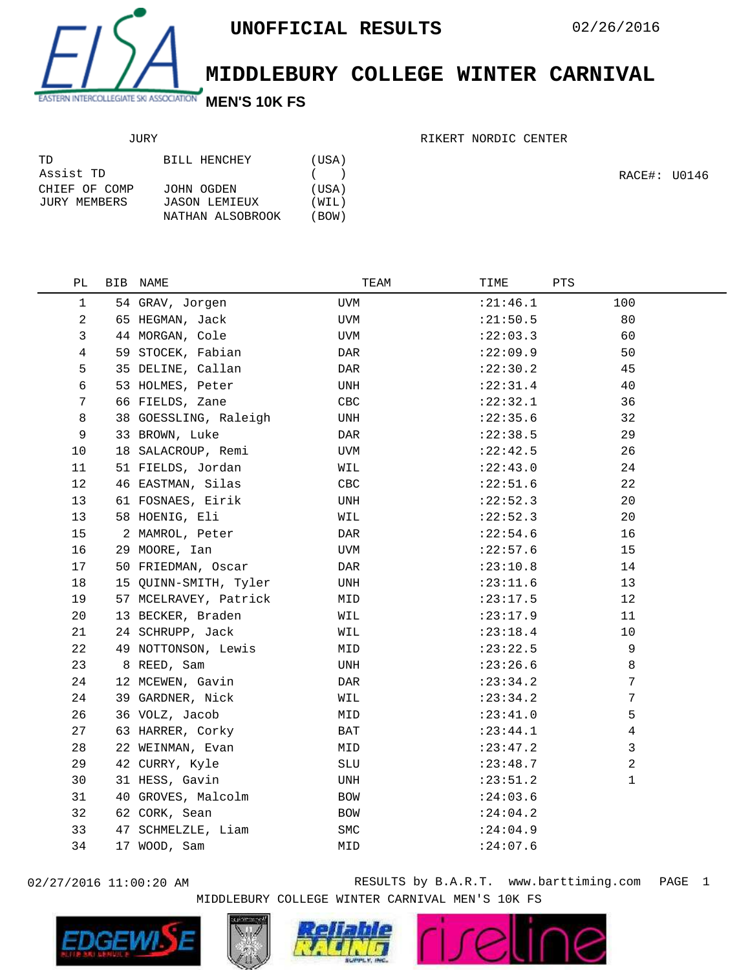

## **MIDDLEBURY COLLEGE WINTER CARNIVAL**

## JURY

| TD            | BILL HENCHEY     | (USA) |
|---------------|------------------|-------|
| Assist TD     |                  | (     |
| CHIEF OF COMP | JOHN OGDEN       | (USA) |
| JURY MEMBERS  | JASON LEMIEUX    | (WIL) |
|               | NATHAN ALSOBROOK | (BOW) |

RIKERT NORDIC CENTER

RACE#: U0146

| PL             | BIB | NAME                  | TEAM       | TIME       | PTS         |  |
|----------------|-----|-----------------------|------------|------------|-------------|--|
| 1              |     | 54 GRAV, Jorgen       | UVM        | : 21:46.1  | 100         |  |
| $\overline{a}$ |     | 65 HEGMAN, Jack       | UVM        | : 21:50.5  | 80          |  |
| 3              |     | 44 MORGAN, Cole       | UVM        | : 22:03.3  | 60          |  |
| 4              |     | 59 STOCEK, Fabian     | DAR        | :22:09.9   | 50          |  |
| 5              |     | 35 DELINE, Callan     | DAR        | : 22: 30.2 | 45          |  |
| 6              |     | 53 HOLMES, Peter      | UNH        | : 22: 31.4 | 40          |  |
| 7              |     | 66 FIELDS, Zane       | CBC        | : 22: 32.1 | 36          |  |
| 8              |     | 38 GOESSLING, Raleigh | UNH        | : 22: 35.6 | 32          |  |
| 9              |     | 33 BROWN, Luke        | DAR        | : 22:38.5  | 29          |  |
| 10             |     | 18 SALACROUP, Remi    | <b>UVM</b> | : 22: 42.5 | 26          |  |
| 11             |     | 51 FIELDS, Jordan     | WIL        | : 22:43.0  | 24          |  |
| 12             |     | 46 EASTMAN, Silas     | CBC        | : 22: 51.6 | 22          |  |
| 13             |     | 61 FOSNAES, Eirik     | UNH        | : 22:52.3  | 20          |  |
| 13             |     | 58 HOENIG, Eli        | WIL        | : 22:52.3  | 20          |  |
| 15             |     | 2 MAMROL, Peter       | DAR        | : 22:54.6  | 16          |  |
| 16             |     | 29 MOORE, Ian         | UVM        | :22:57.6   | 15          |  |
| 17             |     | 50 FRIEDMAN, Oscar    | DAR        | : 23:10.8  | 14          |  |
| 18             |     | 15 QUINN-SMITH, Tyler | UNH        | : 23: 11.6 | 13          |  |
| 19             |     | 57 MCELRAVEY, Patrick | MID        | : 23: 17.5 | 12          |  |
| 20             |     | 13 BECKER, Braden     | WIL        | : 23: 17.9 | 11          |  |
| 21             |     | 24 SCHRUPP, Jack      | WIL        | : 23: 18.4 | 10          |  |
| 22             |     | 49 NOTTONSON, Lewis   | MID        | : 23: 22.5 | 9           |  |
| 23             |     | 8 REED, Sam           | UNH        | : 23:26.6  | 8           |  |
| 24             |     | 12 MCEWEN, Gavin      | DAR        | : 23: 34.2 | 7           |  |
| 24             |     | 39 GARDNER, Nick      | WIL        | : 23: 34.2 | 7           |  |
| 26             |     | 36 VOLZ, Jacob        | MID        | : 23: 41.0 | 5           |  |
| 27             |     | 63 HARRER, Corky      | BAT        | : 23: 44.1 | 4           |  |
| 28             |     | 22 WEINMAN, Evan      | MID        | : 23: 47.2 | 3           |  |
| 29             |     | 42 CURRY, Kyle        | SLU        | : 23: 48.7 | 2           |  |
| 30             |     | 31 HESS, Gavin        | UNH        | : 23: 51.2 | $\mathbf 1$ |  |
| 31             |     | 40 GROVES, Malcolm    | BOW        | : 24:03.6  |             |  |
| 32             |     | 62 CORK, Sean         | BOW        | : 24:04.2  |             |  |
| 33             |     | 47 SCHMELZLE, Liam    | SMC        | : 24:04.9  |             |  |
| 34             |     | 17 WOOD, Sam          | MID        | : 24:07.6  |             |  |
|                |     |                       |            |            |             |  |

02/27/2016 11:00:20 AM RESULTS by B.A.R.T. www.barttiming.com PAGE 1 MIDDLEBURY COLLEGE WINTER CARNIVAL MEN'S 10K FS